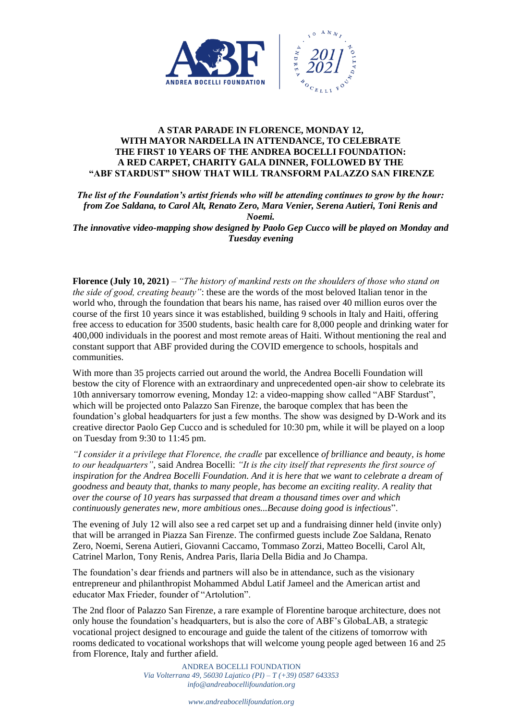

## **A STAR PARADE IN FLORENCE, MONDAY 12, WITH MAYOR NARDELLA IN ATTENDANCE, TO CELEBRATE THE FIRST 10 YEARS OF THE ANDREA BOCELLI FOUNDATION: A RED CARPET, CHARITY GALA DINNER, FOLLOWED BY THE "ABF STARDUST" SHOW THAT WILL TRANSFORM PALAZZO SAN FIRENZE**

*The list of the Foundation's artist friends who will be attending continues to grow by the hour: from Zoe Saldana, to Carol Alt, Renato Zero, Mara Venier, Serena Autieri, Toni Renis and Noemi.*

*The innovative video-mapping show designed by Paolo Gep Cucco will be played on Monday and Tuesday evening*

**Florence (July 10, 2021)** – *"The history of mankind rests on the shoulders of those who stand on the side of good, creating beauty"*: these are the words of the most beloved Italian tenor in the world who, through the foundation that bears his name, has raised over 40 million euros over the course of the first 10 years since it was established, building 9 schools in Italy and Haiti, offering free access to education for 3500 students, basic health care for 8,000 people and drinking water for 400,000 individuals in the poorest and most remote areas of Haiti. Without mentioning the real and constant support that ABF provided during the COVID emergence to schools, hospitals and communities.

With more than 35 projects carried out around the world, the Andrea Bocelli Foundation will bestow the city of Florence with an extraordinary and unprecedented open-air show to celebrate its 10th anniversary tomorrow evening, Monday 12: a video-mapping show called "ABF Stardust", which will be projected onto Palazzo San Firenze, the baroque complex that has been the foundation's global headquarters for just a few months. The show was designed by D-Work and its creative director Paolo Gep Cucco and is scheduled for 10:30 pm, while it will be played on a loop on Tuesday from 9:30 to 11:45 pm.

*"I consider it a privilege that Florence, the cradle* par excellence *of brilliance and beauty, is home to our headquarters"*, said Andrea Bocelli: *"It is the city itself that represents the first source of inspiration for the Andrea Bocelli Foundation. And it is here that we want to celebrate a dream of goodness and beauty that, thanks to many people, has become an exciting reality. A reality that over the course of 10 years has surpassed that dream a thousand times over and which continuously generates new, more ambitious ones...Because doing good is infectious*".

The evening of July 12 will also see a red carpet set up and a fundraising dinner held (invite only) that will be arranged in Piazza San Firenze. The confirmed guests include Zoe Saldana, Renato Zero, Noemi, Serena Autieri, Giovanni Caccamo, Tommaso Zorzi, Matteo Bocelli, Carol Alt, Catrinel Marlon, Tony Renis, Andrea Paris, Ilaria Della Bidia and Jo Champa.

The foundation's dear friends and partners will also be in attendance, such as the visionary entrepreneur and philanthropist Mohammed Abdul Latif Jameel and the American artist and educator Max Frieder, founder of "Artolution".

The 2nd floor of Palazzo San Firenze, a rare example of Florentine baroque architecture, does not only house the foundation's headquarters, but is also the core of ABF's GlobaLAB, a strategic vocational project designed to encourage and guide the talent of the citizens of tomorrow with rooms dedicated to vocational workshops that will welcome young people aged between 16 and 25 from Florence, Italy and further afield.

> ANDREA BOCELLI FOUNDATION *Via Volterrana 49, 56030 Lajatico (PI) – T (+39) 0587 643353 info@andreabocellifoundation.org*